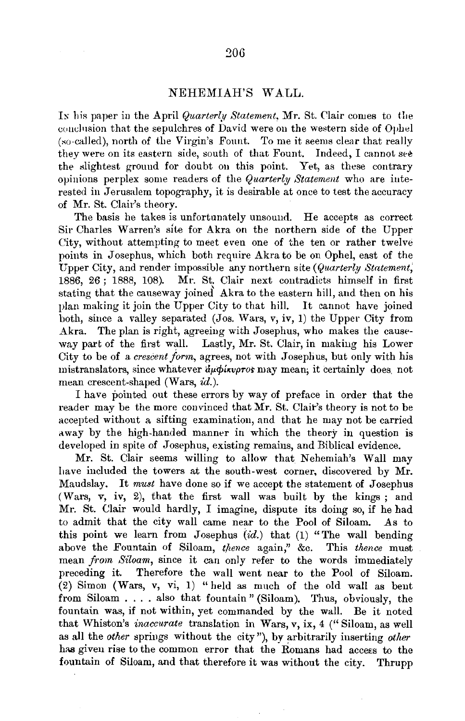## NEHEMIAH'S WALL.

In his paper in the April *Quarterly Statement*, Mr. St. Clair comes to the couclusion that the sepulchres of David were on the western side of Ophel (so-called), north of the Virgin's Fount. To me it seems clear that really they were on its eastern side, south of that Fount. Indeed, I cannot see the slightest ground for doubt on this point. Yet, as these contrary opinions perplex some readers of the *Quarterly Statement* who are interested in Jerusalem topography, it is desirable at once to test the accuracy of Mr. St. Clair's theory.

The basis he takes is unfortunately unsound. He accepts as correct Sir Charles Warren's site for Akra on the northern side of the Upper City, without attempting to meet even one of the ten or rather twelve points in Josephus, which both require Akra to be on Ophel, east of the Upper City, and render impossible any northern slte *(Quarterly Stntement;*  1886, 26 ; 1888, 108). Mr. St. Clair next contradicts himself in first stating that the causeway joined Akra to the eastern hill, and then on his plan making it join the Upper City to that hill. It cannot have joined both, since a valley separated (Jos. Wars, v, iv, 1) the Upper City from Akra. The plan is right, agreeing with Josephus, who makes the causeway part of the first wall. Lastly, Mr. St. Clair, in making his Lower City to be of a *crescent form*, agrees, not with Josephus, but only with his mistranslators, since whatever  $d\mu\phi$ *ixvpros* may mean; it certainly does, not mean crescent-shaped (Wars, id.).

I have pointed out these errors by way of preface in order that the reader may be the more convinced that Mr. St. Clair's theory is not to be accepted without a sifting examination, and that he may not be carried away by the high-handed manner in which the theory in question is developed in spite of Josephus, existing remains, and Biblical evidence.

Mr. St. Clair seems willing to allow that Nehemiah's Wall may have included the towers at the south-west corner, discovered by Mr. Maudslay. It *must* have done so if we accept the statement of Josephus (Wars, v, iv, 2), that the first wall was built by the kings ; and Mr. St. Clair would hardly, I imagine, dispute its doing so, if he had to admit that the city wall came near to the Pool of Siloam. As to this point we learn from Josephus  $(id.)$  that (1) "The wall bending above the Fountain of Siloam, *thence* again," &c. This *thence* must mean *jr01n Siloam,* since it can only refer to the words immediately preceding it. Therefore the wall went near to the Pool of Siloam. (2) Simon (Wars, *v,* vi, 1) "held as much of the old wall as bent from Siloam .... also that fountain" (Siloam). Thus, obviously, the fountain was, if not within, yet commanded by the wall. Be it noted that Whiston's *inaccurate* translation in Wars, v, ix, 4 ("Siloam, as well as all the *other* springs without the city"), by arbitrarily inserting *other* has given rise to the common error that the Romans had access to the fountain of Siloam, and that therefore it was without the city. Thrupp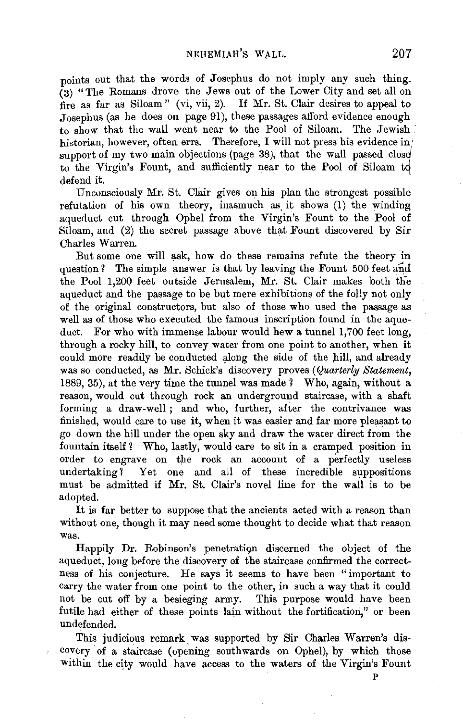points out that the words of Josephus do not imply any such thing. (3) "The Romans drove the Jews out of the Lower City and set all on fire as far as Siloam" (vi, vii, 2). If Mr. St. Clair desires to appeal to Josephus (as he does ou page 91), these passages afford evidence enough to show that the wall went near to the Pool of Siloam. The Jewish historian, however, often errs. Therefore, I will not press his evidence in: support of my two main objections (page 38), that the wall passed close to the Virgin's Fount, and sufficiently near to the Pool of Siloam to defend it.

Unconsciously Mr. St. Clair gives on his plan the strongest possible refutation of his own theory, inasmuch as it shows (1) the winding aqueduct cut through Ophel from the Virgin's Fount to the Pool of Siloam, and (2) the secret passage above that Fount discovered by Sir Charles Warren.

But some one will ask, how do these remains refute the theory in question? The simple answer is that by leaving the Fount  $500$  feet and the Pool 1,200 feet outside Jerusalem, Mr. St. Clair makes both the aqueduct and the passage to be but mere exhibitions of the folly not only of the original constructors, but also of those who used the passage as well as of those who executed the famous inscription found in the aqueduct. For who with immense labour would hew a tunnel 1,700 feet long, through a rocky hill, to convey water from one point to another, when it could more readily be conducted along the side of the hill, and already was so conducted, as Mr. Schick's discovery proves *(Quarterly Statement,*  1889, 35), at the very time the tunnel was made ? Who, again, without a reason, would cut through rock an underground staircase, with a shaft forming a draw-well; and who, further, after the contrivance was finished, would care to use it, when it was easier and far more pleasant to go down the hill under the open sky and draw the water direct from the fountain itself ? Who, lastly, would care to sit in a cramped position in order to engrave on the rock an account of a perfectly useless undertaking? Yet one and all of these incredible suppositions must be admitted if Mr. St. Clair's novel line for the wall is to be adopted.

It is far better to suppose that the ancients acted with a reason than without one, though it may need some thought to decide what that reason was.

Happily Dr. Robinson's penetratign discerned the object of the aqueduct, long before the discovery of the staircase confirmed the correctness of his conjecture. He says it seems to have been "important to carry the water from one point to the other, in such a way that it could not be cut off by a besieging army. This purpose would have been futile had either of these points lain without the fortification," or been undefended.

This judicious remark. was supported by Sir Charles Warren's discovery of a staircase (opening southwards on Ophel), by which those within the city would have access to the waters of the Virgin's Fount

p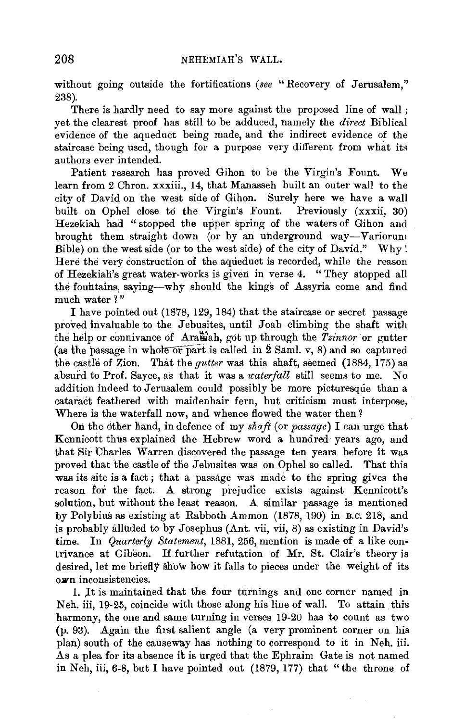without going outside the fortifications (see "Recovery of Jerusalem," 238).

There is hardly need to say more against the proposed line of wall; yet the clearest proof has still to be adduced, namely the *direct* Biblical evidence of the aqueduct being made, and the indirect evidence of the staircase being used, though for a purpose very different from what its authors ever intended.

Patient research has proved Gihon to be the Virgin's Fount. We learn from 2 Chron. xxxiii., 14, that Manasseh built an outer wall to the city of David on the west side of Gihon. Surely here we have a wall built on Ophel close to the Virgin's Fount. Previously (xxxii, 30) Hezekiah had " stopped the upper spring of the waters of Gihon and brought them straight down (or by an uhderground way-Variorum Bible) on the west side (or to the west side) of the city of David." Why! Here the very construction of the aqueduct is recorded, while the reason of Hezekiah's great water-works is given in verse 4. "They stopped all the fountains, saying-why should the kings of Assyria come and find much water ?"

I have pointed out (1878, 129, 184) that the staircase or secret passage proved invaluable to the Jebusites, until Joab climbing the shaft with the help or connivance of Aramah, got up through the *Tzinnor* or gutter (as the passage in whole  $\overline{or}$  part is called in 2 Saml. v, 8) and so captured the castle of Zion. That the *gutter* was this shaft, seemed (1884, 175) as absurd to Prof. Sayce, as that it was a *waterfall* still seems to me. No addition indeed to Jerusalem could possibly be more picturesque than a cataract feathered with maidenhair fern, but criticism must interpose, Where is the waterfall now, and whence flowed the water then?

On the other hand, in defence of my *shaft* (or *passage*) I can urge that Kennicott thus explained the Hebrew word a hundred, years ago, and that Rir Charles Warren discovered the passage ten years before it was proved that the castle of the Jebusites was on Ophel so called. That this was its site is a fact; that a passage was made to the spring gives the reason for the fact. A strong prejudice exists against Kennicott's solution, but without the least reason. A similar passage is mentioned by Polybius as existing at Rabboth Ammon (1878, 190) in B.C. 218, and is probably alluded to by Josephus (Ant. vii, vii, 8) as existing in David's time. In *Quarterly Statement,* 1881, 256, mention is made of a like contrivance at Gibeon. If further refutation of Mr. St. Clair's theory is desired, let me briefly show how it falls to pieces under the weight of its o.wn inconsistencies.

1. It is maintained that the four turnings and one corner named in Neh. iii, 19-25, coincide with those along his line of wall. To attain this harmony, the one and same turning in verses 19-20 has to count as two (p. 93). Again the first salient angle (a very prominent corner on his plan) south of the causeway has nothing to correspond to it in Neh. iii. As a plea for its absence it is urged that the Ephraim Gate is not named in Neh, iii, 6-8, but I have pointed out (1879, 177) that "the throne of